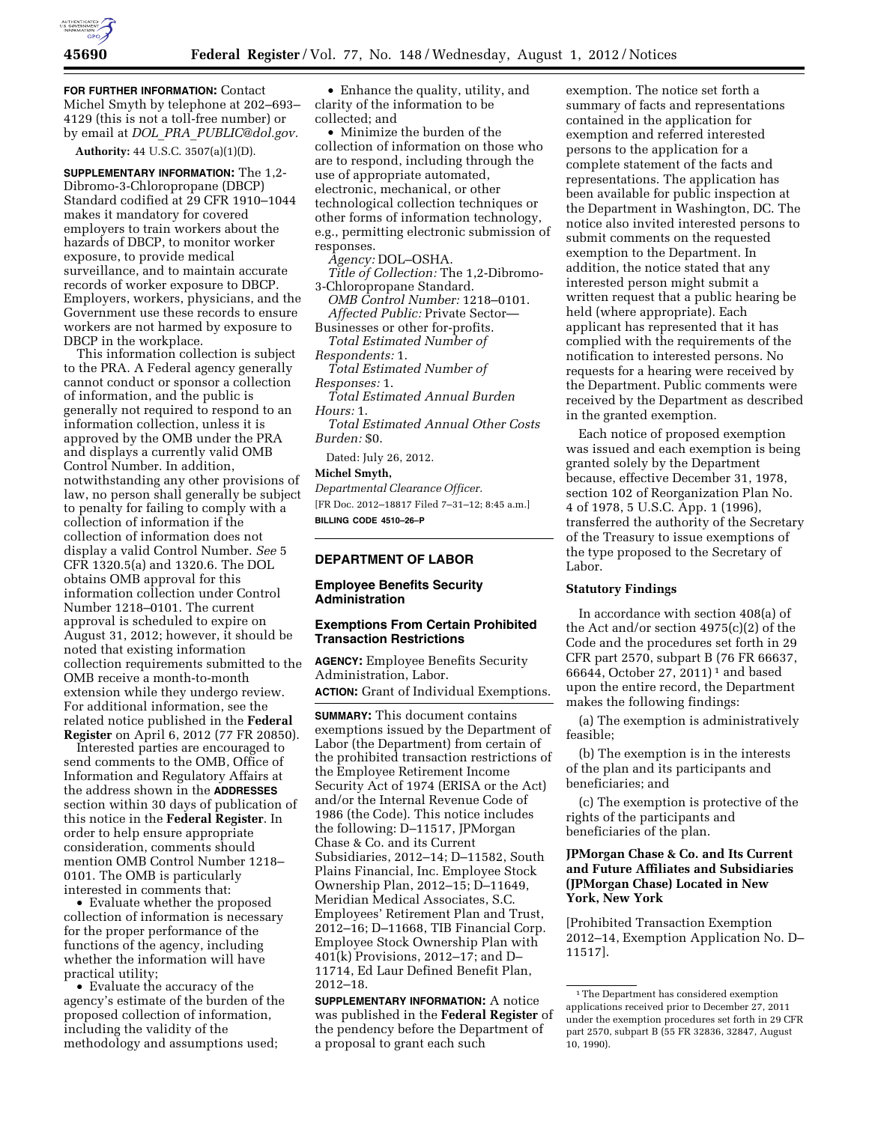

**FOR FURTHER INFORMATION:** Contact Michel Smyth by telephone at 202–693– 4129 (this is not a toll-free number) or by email at *DOL*\_*PRA*\_*[PUBLIC@dol.gov.](mailto:DOL_PRA_PUBLIC@dol.gov)* 

**Authority:** 44 U.S.C. 3507(a)(1)(D).

**SUPPLEMENTARY INFORMATION:** The 1,2- Dibromo-3-Chloropropane (DBCP) Standard codified at 29 CFR 1910–1044 makes it mandatory for covered employers to train workers about the hazards of DBCP, to monitor worker exposure, to provide medical surveillance, and to maintain accurate records of worker exposure to DBCP. Employers, workers, physicians, and the Government use these records to ensure workers are not harmed by exposure to DBCP in the workplace.

This information collection is subject to the PRA. A Federal agency generally cannot conduct or sponsor a collection of information, and the public is generally not required to respond to an information collection, unless it is approved by the OMB under the PRA and displays a currently valid OMB Control Number. In addition, notwithstanding any other provisions of law, no person shall generally be subject to penalty for failing to comply with a collection of information if the collection of information does not display a valid Control Number. *See* 5 CFR 1320.5(a) and 1320.6. The DOL obtains OMB approval for this information collection under Control Number 1218–0101. The current approval is scheduled to expire on August 31, 2012; however, it should be noted that existing information collection requirements submitted to the OMB receive a month-to-month extension while they undergo review. For additional information, see the related notice published in the **Federal Register** on April 6, 2012 (77 FR 20850).

Interested parties are encouraged to send comments to the OMB, Office of Information and Regulatory Affairs at the address shown in the **ADDRESSES** section within 30 days of publication of this notice in the **Federal Register**. In order to help ensure appropriate consideration, comments should mention OMB Control Number 1218– 0101. The OMB is particularly interested in comments that:

• Evaluate whether the proposed collection of information is necessary for the proper performance of the functions of the agency, including whether the information will have practical utility;

• Evaluate the accuracy of the agency's estimate of the burden of the proposed collection of information, including the validity of the methodology and assumptions used;

• Enhance the quality, utility, and clarity of the information to be collected; and

• Minimize the burden of the collection of information on those who are to respond, including through the use of appropriate automated, electronic, mechanical, or other technological collection techniques or other forms of information technology, e.g., permitting electronic submission of responses.

*Agency:* DOL–OSHA.

*Title of Collection:* The 1,2-Dibromo-3-Chloropropane Standard.

*OMB Control Number:* 1218–0101. *Affected Public:* Private Sector— Businesses or other for-profits.

*Total Estimated Number of Respondents:* 1.

*Total Estimated Number of Responses:* 1.

*Total Estimated Annual Burden Hours:* 1.

*Total Estimated Annual Other Costs Burden:* \$0.

Dated: July 26, 2012.

#### **Michel Smyth,**

*Departmental Clearance Officer.*  [FR Doc. 2012–18817 Filed 7–31–12; 8:45 a.m.] **BILLING CODE 4510–26–P** 

# **DEPARTMENT OF LABOR**

# **Employee Benefits Security Administration**

# **Exemptions From Certain Prohibited Transaction Restrictions**

**AGENCY:** Employee Benefits Security Administration, Labor. **ACTION:** Grant of Individual Exemptions.

**SUMMARY:** This document contains exemptions issued by the Department of Labor (the Department) from certain of the prohibited transaction restrictions of the Employee Retirement Income Security Act of 1974 (ERISA or the Act) and/or the Internal Revenue Code of 1986 (the Code). This notice includes the following: D–11517, JPMorgan Chase & Co. and its Current Subsidiaries, 2012–14; D–11582, South Plains Financial, Inc. Employee Stock Ownership Plan, 2012–15; D–11649, Meridian Medical Associates, S.C. Employees' Retirement Plan and Trust, 2012–16; D–11668, TIB Financial Corp. Employee Stock Ownership Plan with 401(k) Provisions, 2012–17; and D– 11714, Ed Laur Defined Benefit Plan, 2012–18.

**SUPPLEMENTARY INFORMATION:** A notice was published in the **Federal Register** of the pendency before the Department of a proposal to grant each such

exemption. The notice set forth a summary of facts and representations contained in the application for exemption and referred interested persons to the application for a complete statement of the facts and representations. The application has been available for public inspection at the Department in Washington, DC. The notice also invited interested persons to submit comments on the requested exemption to the Department. In addition, the notice stated that any interested person might submit a written request that a public hearing be held (where appropriate). Each applicant has represented that it has complied with the requirements of the notification to interested persons. No requests for a hearing were received by the Department. Public comments were received by the Department as described in the granted exemption.

Each notice of proposed exemption was issued and each exemption is being granted solely by the Department because, effective December 31, 1978, section 102 of Reorganization Plan No. 4 of 1978, 5 U.S.C. App. 1 (1996), transferred the authority of the Secretary of the Treasury to issue exemptions of the type proposed to the Secretary of Labor.

## **Statutory Findings**

In accordance with section 408(a) of the Act and/or section 4975(c)(2) of the Code and the procedures set forth in 29 CFR part 2570, subpart B (76 FR 66637, 66644, October 27, 2011) 1 and based upon the entire record, the Department makes the following findings:

(a) The exemption is administratively feasible;

(b) The exemption is in the interests of the plan and its participants and beneficiaries; and

(c) The exemption is protective of the rights of the participants and beneficiaries of the plan.

# **JPMorgan Chase & Co. and Its Current and Future Affiliates and Subsidiaries (JPMorgan Chase) Located in New York, New York**

[Prohibited Transaction Exemption 2012–14, Exemption Application No. D– 11517].

<sup>1</sup>The Department has considered exemption applications received prior to December 27, 2011 under the exemption procedures set forth in 29 CFR part 2570, subpart B (55 FR 32836, 32847, August 10, 1990).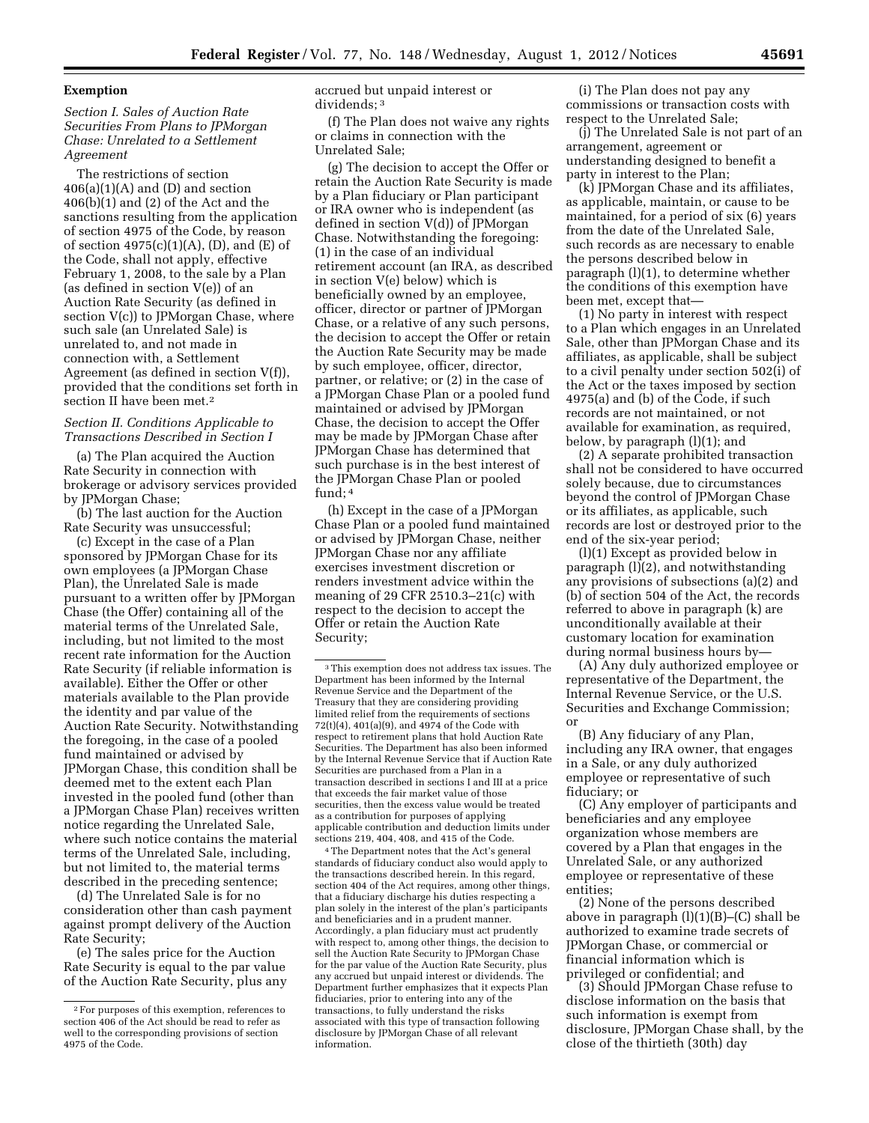### **Exemption**

# *Section I. Sales of Auction Rate Securities From Plans to JPMorgan Chase: Unrelated to a Settlement Agreement*

The restrictions of section  $406(a)(1)(A)$  and (D) and section 406(b)(1) and (2) of the Act and the sanctions resulting from the application of section 4975 of the Code, by reason of section  $4975(c)(1)(A)$ , (D), and (E) of the Code, shall not apply, effective February 1, 2008, to the sale by a Plan (as defined in section V(e)) of an Auction Rate Security (as defined in section V(c)) to JPMorgan Chase, where such sale (an Unrelated Sale) is unrelated to, and not made in connection with, a Settlement Agreement (as defined in section V(f)), provided that the conditions set forth in section II have been met.<sup>2</sup>

## *Section II. Conditions Applicable to Transactions Described in Section I*

(a) The Plan acquired the Auction Rate Security in connection with brokerage or advisory services provided by JPMorgan Chase;

(b) The last auction for the Auction Rate Security was unsuccessful;

(c) Except in the case of a Plan sponsored by JPMorgan Chase for its own employees (a JPMorgan Chase Plan), the Unrelated Sale is made pursuant to a written offer by JPMorgan Chase (the Offer) containing all of the material terms of the Unrelated Sale, including, but not limited to the most recent rate information for the Auction Rate Security (if reliable information is available). Either the Offer or other materials available to the Plan provide the identity and par value of the Auction Rate Security. Notwithstanding the foregoing, in the case of a pooled fund maintained or advised by JPMorgan Chase, this condition shall be deemed met to the extent each Plan invested in the pooled fund (other than a JPMorgan Chase Plan) receives written notice regarding the Unrelated Sale, where such notice contains the material terms of the Unrelated Sale, including, but not limited to, the material terms described in the preceding sentence;

(d) The Unrelated Sale is for no consideration other than cash payment against prompt delivery of the Auction Rate Security;

(e) The sales price for the Auction Rate Security is equal to the par value of the Auction Rate Security, plus any accrued but unpaid interest or dividends; 3

(f) The Plan does not waive any rights or claims in connection with the Unrelated Sale;

(g) The decision to accept the Offer or retain the Auction Rate Security is made by a Plan fiduciary or Plan participant or IRA owner who is independent (as defined in section V(d)) of JPMorgan Chase. Notwithstanding the foregoing: (1) in the case of an individual retirement account (an IRA, as described in section V(e) below) which is beneficially owned by an employee, officer, director or partner of JPMorgan Chase, or a relative of any such persons, the decision to accept the Offer or retain the Auction Rate Security may be made by such employee, officer, director, partner, or relative; or (2) in the case of a JPMorgan Chase Plan or a pooled fund maintained or advised by JPMorgan Chase, the decision to accept the Offer may be made by JPMorgan Chase after JPMorgan Chase has determined that such purchase is in the best interest of the JPMorgan Chase Plan or pooled fund; 4

(h) Except in the case of a JPMorgan Chase Plan or a pooled fund maintained or advised by JPMorgan Chase, neither JPMorgan Chase nor any affiliate exercises investment discretion or renders investment advice within the meaning of 29 CFR 2510.3–21(c) with respect to the decision to accept the Offer or retain the Auction Rate Security;

4The Department notes that the Act's general standards of fiduciary conduct also would apply to the transactions described herein. In this regard, section 404 of the Act requires, among other things, that a fiduciary discharge his duties respecting a plan solely in the interest of the plan's participants and beneficiaries and in a prudent manner. Accordingly, a plan fiduciary must act prudently with respect to, among other things, the decision to sell the Auction Rate Security to JPMorgan Chase for the par value of the Auction Rate Security, plus any accrued but unpaid interest or dividends. The Department further emphasizes that it expects Plan fiduciaries, prior to entering into any of the transactions, to fully understand the risks associated with this type of transaction following disclosure by JPMorgan Chase of all relevant information.

(i) The Plan does not pay any commissions or transaction costs with respect to the Unrelated Sale;

(j) The Unrelated Sale is not part of an arrangement, agreement or understanding designed to benefit a party in interest to the Plan;

(k) JPMorgan Chase and its affiliates, as applicable, maintain, or cause to be maintained, for a period of six (6) years from the date of the Unrelated Sale, such records as are necessary to enable the persons described below in paragraph (l)(1), to determine whether the conditions of this exemption have been met, except that—

(1) No party in interest with respect to a Plan which engages in an Unrelated Sale, other than JPMorgan Chase and its affiliates, as applicable, shall be subject to a civil penalty under section 502(i) of the Act or the taxes imposed by section 4975(a) and (b) of the Code, if such records are not maintained, or not available for examination, as required, below, by paragraph (l)(1); and

(2) A separate prohibited transaction shall not be considered to have occurred solely because, due to circumstances beyond the control of JPMorgan Chase or its affiliates, as applicable, such records are lost or destroyed prior to the end of the six-year period;

(l)(1) Except as provided below in paragraph (l)(2), and notwithstanding any provisions of subsections (a)(2) and (b) of section 504 of the Act, the records referred to above in paragraph (k) are unconditionally available at their customary location for examination during normal business hours by—

(A) Any duly authorized employee or representative of the Department, the Internal Revenue Service, or the U.S. Securities and Exchange Commission; or

(B) Any fiduciary of any Plan, including any IRA owner, that engages in a Sale, or any duly authorized employee or representative of such fiduciary; or

(C) Any employer of participants and beneficiaries and any employee organization whose members are covered by a Plan that engages in the Unrelated Sale, or any authorized employee or representative of these entities;

(2) None of the persons described above in paragraph (l)(1)(B)–(C) shall be authorized to examine trade secrets of JPMorgan Chase, or commercial or financial information which is privileged or confidential; and

(3) Should JPMorgan Chase refuse to disclose information on the basis that such information is exempt from disclosure, JPMorgan Chase shall, by the close of the thirtieth (30th) day

<sup>2</sup>For purposes of this exemption, references to section 406 of the Act should be read to refer as well to the corresponding provisions of section 4975 of the Code.

<sup>3</sup>This exemption does not address tax issues. The Department has been informed by the Internal Revenue Service and the Department of the Treasury that they are considering providing limited relief from the requirements of sections 72(t)(4), 401(a)(9), and 4974 of the Code with respect to retirement plans that hold Auction Rate Securities. The Department has also been informed by the Internal Revenue Service that if Auction Rate Securities are purchased from a Plan in a transaction described in sections I and III at a price that exceeds the fair market value of those securities, then the excess value would be treated as a contribution for purposes of applying applicable contribution and deduction limits under sections 219, 404, 408, and 415 of the Code.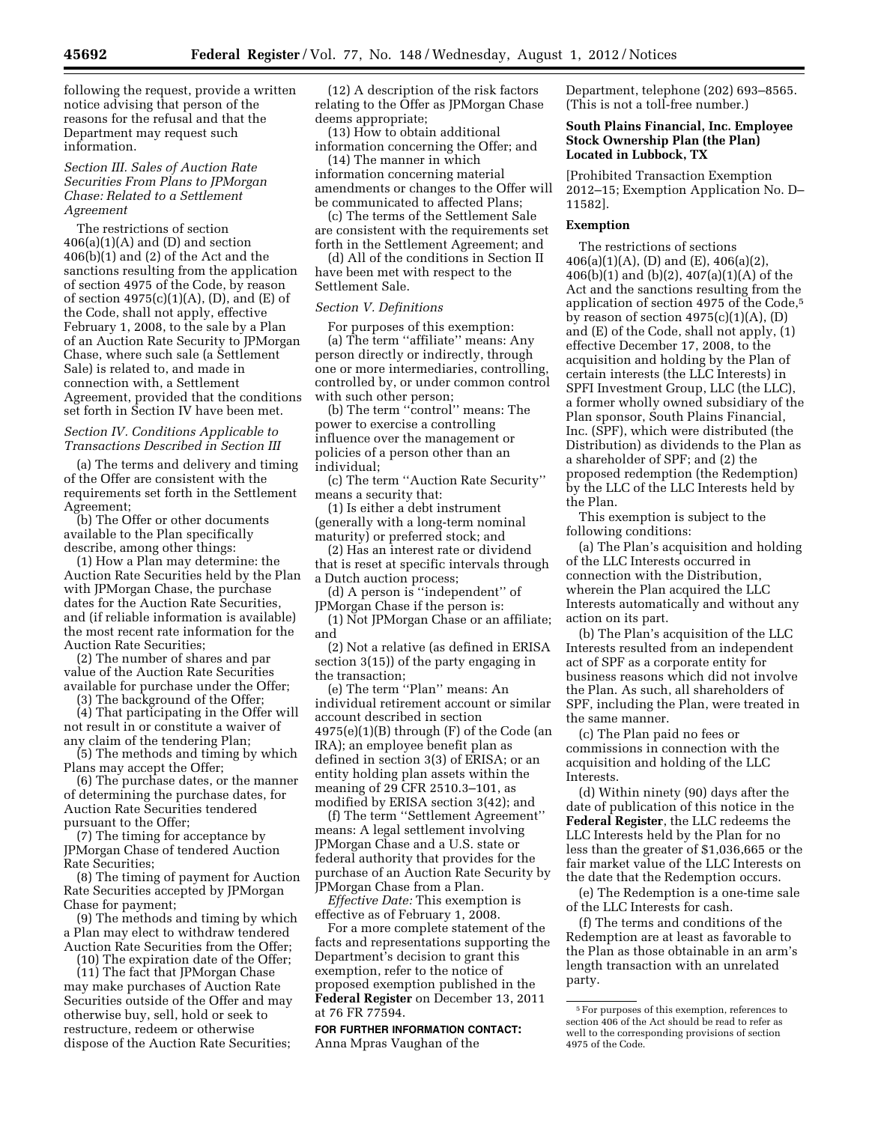following the request, provide a written notice advising that person of the reasons for the refusal and that the Department may request such information.

## *Section III. Sales of Auction Rate Securities From Plans to JPMorgan Chase: Related to a Settlement Agreement*

The restrictions of section  $406(a)(1)(A)$  and (D) and section 406(b)(1) and (2) of the Act and the sanctions resulting from the application of section 4975 of the Code, by reason of section  $4975(c)(1)(A)$ , (D), and (E) of the Code, shall not apply, effective February 1, 2008, to the sale by a Plan of an Auction Rate Security to JPMorgan Chase, where such sale (a Settlement Sale) is related to, and made in connection with, a Settlement Agreement, provided that the conditions set forth in Section IV have been met.

## *Section IV. Conditions Applicable to Transactions Described in Section III*

(a) The terms and delivery and timing of the Offer are consistent with the requirements set forth in the Settlement Agreement;

(b) The Offer or other documents available to the Plan specifically describe, among other things:

(1) How a Plan may determine: the Auction Rate Securities held by the Plan with JPMorgan Chase, the purchase dates for the Auction Rate Securities, and (if reliable information is available) the most recent rate information for the Auction Rate Securities;

(2) The number of shares and par value of the Auction Rate Securities available for purchase under the Offer;

(3) The background of the Offer;

(4) That participating in the Offer will not result in or constitute a waiver of any claim of the tendering Plan;

(5) The methods and timing by which Plans may accept the Offer;

(6) The purchase dates, or the manner of determining the purchase dates, for Auction Rate Securities tendered pursuant to the Offer;

(7) The timing for acceptance by JPMorgan Chase of tendered Auction Rate Securities;

(8) The timing of payment for Auction Rate Securities accepted by JPMorgan Chase for payment;

(9) The methods and timing by which a Plan may elect to withdraw tendered Auction Rate Securities from the Offer;

(10) The expiration date of the Offer;

(11) The fact that JPMorgan Chase may make purchases of Auction Rate Securities outside of the Offer and may otherwise buy, sell, hold or seek to restructure, redeem or otherwise dispose of the Auction Rate Securities;

(12) A description of the risk factors relating to the Offer as JPMorgan Chase deems appropriate;

(13) How to obtain additional information concerning the Offer; and

(14) The manner in which information concerning material amendments or changes to the Offer will be communicated to affected Plans;

(c) The terms of the Settlement Sale are consistent with the requirements set forth in the Settlement Agreement; and

(d) All of the conditions in Section II have been met with respect to the Settlement Sale.

### *Section V. Definitions*

For purposes of this exemption: (a) The term ''affiliate'' means: Any person directly or indirectly, through one or more intermediaries, controlling, controlled by, or under common control with such other person;

(b) The term ''control'' means: The power to exercise a controlling influence over the management or policies of a person other than an individual;

(c) The term ''Auction Rate Security'' means a security that:

(1) Is either a debt instrument (generally with a long-term nominal maturity) or preferred stock; and

(2) Has an interest rate or dividend that is reset at specific intervals through a Dutch auction process;

(d) A person is ''independent'' of JPMorgan Chase if the person is:

(1) Not JPMorgan Chase or an affiliate; and

(2) Not a relative (as defined in ERISA section 3(15)) of the party engaging in the transaction;

(e) The term ''Plan'' means: An individual retirement account or similar account described in section  $4975(e)(1)(B)$  through  $(F)$  of the Code (an IRA); an employee benefit plan as defined in section 3(3) of ERISA; or an entity holding plan assets within the meaning of 29 CFR 2510.3–101, as modified by ERISA section 3(42); and

(f) The term ''Settlement Agreement'' means: A legal settlement involving JPMorgan Chase and a U.S. state or federal authority that provides for the purchase of an Auction Rate Security by JPMorgan Chase from a Plan.

*Effective Date:* This exemption is effective as of February 1, 2008.

For a more complete statement of the facts and representations supporting the Department's decision to grant this exemption, refer to the notice of proposed exemption published in the **Federal Register** on December 13, 2011 at 76 FR 77594.

**FOR FURTHER INFORMATION CONTACT:**  Anna Mpras Vaughan of the

Department, telephone (202) 693–8565. (This is not a toll-free number.)

## **South Plains Financial, Inc. Employee Stock Ownership Plan (the Plan) Located in Lubbock, TX**

[Prohibited Transaction Exemption 2012–15; Exemption Application No. D– 11582].

### **Exemption**

The restrictions of sections  $406(a)(1)(A)$ , (D) and (E),  $406(a)(2)$ , 406(b)(1) and (b)(2), 407(a)(1)(A) of the Act and the sanctions resulting from the application of section 4975 of the Code,5 by reason of section  $4975(c)(1)(A)$ ,  $(D)$ and (E) of the Code, shall not apply, (1) effective December 17, 2008, to the acquisition and holding by the Plan of certain interests (the LLC Interests) in SPFI Investment Group, LLC (the LLC), a former wholly owned subsidiary of the Plan sponsor, South Plains Financial, Inc. (SPF), which were distributed (the Distribution) as dividends to the Plan as a shareholder of SPF; and (2) the proposed redemption (the Redemption) by the LLC of the LLC Interests held by the Plan.

This exemption is subject to the following conditions:

(a) The Plan's acquisition and holding of the LLC Interests occurred in connection with the Distribution, wherein the Plan acquired the LLC Interests automatically and without any action on its part.

(b) The Plan's acquisition of the LLC Interests resulted from an independent act of SPF as a corporate entity for business reasons which did not involve the Plan. As such, all shareholders of SPF, including the Plan, were treated in the same manner.

(c) The Plan paid no fees or commissions in connection with the acquisition and holding of the LLC Interests.

(d) Within ninety (90) days after the date of publication of this notice in the **Federal Register**, the LLC redeems the LLC Interests held by the Plan for no less than the greater of \$1,036,665 or the fair market value of the LLC Interests on the date that the Redemption occurs.

(e) The Redemption is a one-time sale of the LLC Interests for cash.

(f) The terms and conditions of the Redemption are at least as favorable to the Plan as those obtainable in an arm's length transaction with an unrelated party.

<sup>5</sup>For purposes of this exemption, references to section 406 of the Act should be read to refer as well to the corresponding provisions of section 4975 of the Code.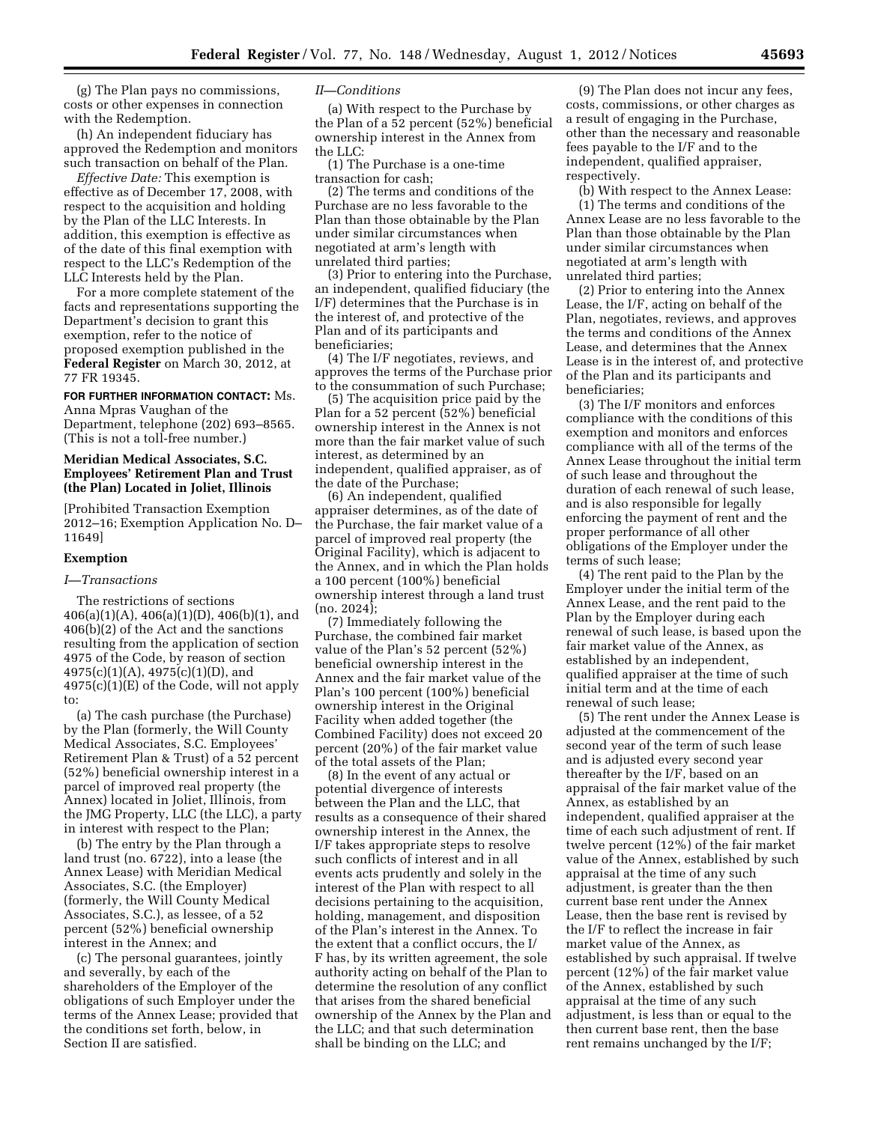(g) The Plan pays no commissions, costs or other expenses in connection with the Redemption.

(h) An independent fiduciary has approved the Redemption and monitors such transaction on behalf of the Plan.

*Effective Date:* This exemption is effective as of December 17, 2008, with respect to the acquisition and holding by the Plan of the LLC Interests. In addition, this exemption is effective as of the date of this final exemption with respect to the LLC's Redemption of the LLC Interests held by the Plan.

For a more complete statement of the facts and representations supporting the Department's decision to grant this exemption, refer to the notice of proposed exemption published in the **Federal Register** on March 30, 2012, at 77 FR 19345.

### **FOR FURTHER INFORMATION CONTACT:** Ms.

Anna Mpras Vaughan of the Department, telephone (202) 693–8565. (This is not a toll-free number.)

## **Meridian Medical Associates, S.C. Employees' Retirement Plan and Trust (the Plan) Located in Joliet, Illinois**

[Prohibited Transaction Exemption 2012–16; Exemption Application No. D– 11649]

### **Exemption**

#### *I—Transactions*

The restrictions of sections 406(a)(1)(A), 406(a)(1)(D), 406(b)(1), and 406(b)(2) of the Act and the sanctions resulting from the application of section 4975 of the Code, by reason of section 4975(c)(1)(A), 4975(c)(1)(D), and 4975(c)(1)(E) of the Code, will not apply to:

(a) The cash purchase (the Purchase) by the Plan (formerly, the Will County Medical Associates, S.C. Employees' Retirement Plan & Trust) of a 52 percent (52%) beneficial ownership interest in a parcel of improved real property (the Annex) located in Joliet, Illinois, from the JMG Property, LLC (the LLC), a party in interest with respect to the Plan;

(b) The entry by the Plan through a land trust (no. 6722), into a lease (the Annex Lease) with Meridian Medical Associates, S.C. (the Employer) (formerly, the Will County Medical Associates, S.C.), as lessee, of a 52 percent (52%) beneficial ownership interest in the Annex; and

(c) The personal guarantees, jointly and severally, by each of the shareholders of the Employer of the obligations of such Employer under the terms of the Annex Lease; provided that the conditions set forth, below, in Section II are satisfied.

### *II—Conditions*

(a) With respect to the Purchase by the Plan of a 52 percent (52%) beneficial ownership interest in the Annex from the LLC:

(1) The Purchase is a one-time transaction for cash;

(2) The terms and conditions of the Purchase are no less favorable to the Plan than those obtainable by the Plan under similar circumstances when negotiated at arm's length with unrelated third parties;

(3) Prior to entering into the Purchase, an independent, qualified fiduciary (the I/F) determines that the Purchase is in the interest of, and protective of the Plan and of its participants and beneficiaries;

(4) The I/F negotiates, reviews, and approves the terms of the Purchase prior to the consummation of such Purchase;

(5) The acquisition price paid by the Plan for a 52 percent (52%) beneficial ownership interest in the Annex is not more than the fair market value of such interest, as determined by an independent, qualified appraiser, as of the date of the Purchase;

(6) An independent, qualified appraiser determines, as of the date of the Purchase, the fair market value of a parcel of improved real property (the Original Facility), which is adjacent to the Annex, and in which the Plan holds a 100 percent (100%) beneficial ownership interest through a land trust (no. 2024);

(7) Immediately following the Purchase, the combined fair market value of the Plan's 52 percent (52%) beneficial ownership interest in the Annex and the fair market value of the Plan's 100 percent (100%) beneficial ownership interest in the Original Facility when added together (the Combined Facility) does not exceed 20 percent (20%) of the fair market value of the total assets of the Plan;

(8) In the event of any actual or potential divergence of interests between the Plan and the LLC, that results as a consequence of their shared ownership interest in the Annex, the I/F takes appropriate steps to resolve such conflicts of interest and in all events acts prudently and solely in the interest of the Plan with respect to all decisions pertaining to the acquisition, holding, management, and disposition of the Plan's interest in the Annex. To the extent that a conflict occurs, the I/ F has, by its written agreement, the sole authority acting on behalf of the Plan to determine the resolution of any conflict that arises from the shared beneficial ownership of the Annex by the Plan and the LLC; and that such determination shall be binding on the LLC; and

(9) The Plan does not incur any fees, costs, commissions, or other charges as a result of engaging in the Purchase, other than the necessary and reasonable fees payable to the I/F and to the independent, qualified appraiser, respectively.

(b) With respect to the Annex Lease:

(1) The terms and conditions of the Annex Lease are no less favorable to the Plan than those obtainable by the Plan under similar circumstances when negotiated at arm's length with unrelated third parties;

(2) Prior to entering into the Annex Lease, the I/F, acting on behalf of the Plan, negotiates, reviews, and approves the terms and conditions of the Annex Lease, and determines that the Annex Lease is in the interest of, and protective of the Plan and its participants and beneficiaries;

(3) The I/F monitors and enforces compliance with the conditions of this exemption and monitors and enforces compliance with all of the terms of the Annex Lease throughout the initial term of such lease and throughout the duration of each renewal of such lease, and is also responsible for legally enforcing the payment of rent and the proper performance of all other obligations of the Employer under the terms of such lease;

(4) The rent paid to the Plan by the Employer under the initial term of the Annex Lease, and the rent paid to the Plan by the Employer during each renewal of such lease, is based upon the fair market value of the Annex, as established by an independent, qualified appraiser at the time of such initial term and at the time of each renewal of such lease;

(5) The rent under the Annex Lease is adjusted at the commencement of the second year of the term of such lease and is adjusted every second year thereafter by the I/F, based on an appraisal of the fair market value of the Annex, as established by an independent, qualified appraiser at the time of each such adjustment of rent. If twelve percent (12%) of the fair market value of the Annex, established by such appraisal at the time of any such adjustment, is greater than the then current base rent under the Annex Lease, then the base rent is revised by the I/F to reflect the increase in fair market value of the Annex, as established by such appraisal. If twelve percent (12%) of the fair market value of the Annex, established by such appraisal at the time of any such adjustment, is less than or equal to the then current base rent, then the base rent remains unchanged by the I/F;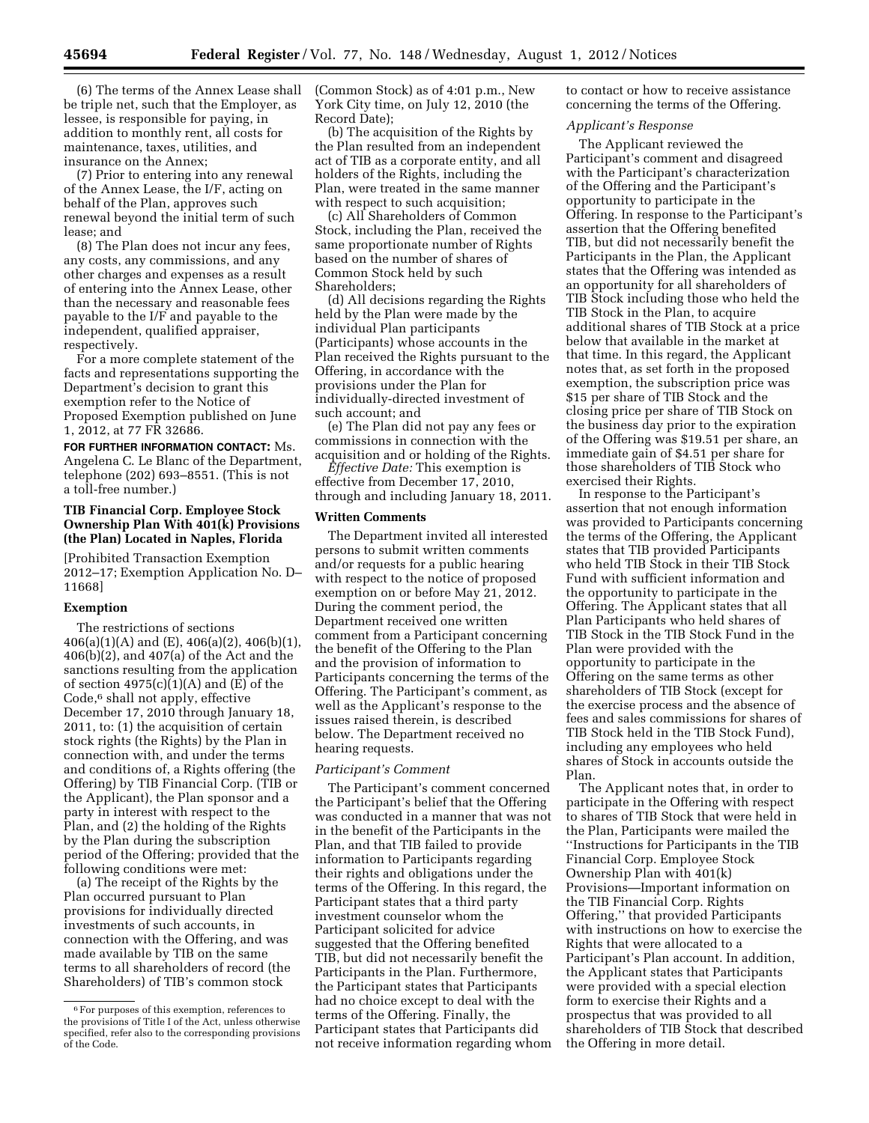(6) The terms of the Annex Lease shall be triple net, such that the Employer, as lessee, is responsible for paying, in addition to monthly rent, all costs for maintenance, taxes, utilities, and insurance on the Annex;

(7) Prior to entering into any renewal of the Annex Lease, the I/F, acting on behalf of the Plan, approves such renewal beyond the initial term of such lease; and

(8) The Plan does not incur any fees, any costs, any commissions, and any other charges and expenses as a result of entering into the Annex Lease, other than the necessary and reasonable fees payable to the I/F and payable to the independent, qualified appraiser, respectively.

For a more complete statement of the facts and representations supporting the Department's decision to grant this exemption refer to the Notice of Proposed Exemption published on June 1, 2012, at 77 FR 32686.

**FOR FURTHER INFORMATION CONTACT:** Ms. Angelena C. Le Blanc of the Department, telephone (202) 693–8551. (This is not a toll-free number.)

## **TIB Financial Corp. Employee Stock Ownership Plan With 401(k) Provisions (the Plan) Located in Naples, Florida**

[Prohibited Transaction Exemption 2012–17; Exemption Application No. D– 11668]

### **Exemption**

The restrictions of sections  $406(a)(1)(A)$  and  $(E)$ ,  $406(a)(2)$ ,  $406(b)(1)$ , 406(b)(2), and 407(a) of the Act and the sanctions resulting from the application of section  $4975(c)(1)(A)$  and  $(\overline{E})$  of the Code,6 shall not apply, effective December 17, 2010 through January 18, 2011, to: (1) the acquisition of certain stock rights (the Rights) by the Plan in connection with, and under the terms and conditions of, a Rights offering (the Offering) by TIB Financial Corp. (TIB or the Applicant), the Plan sponsor and a party in interest with respect to the Plan, and (2) the holding of the Rights by the Plan during the subscription period of the Offering; provided that the following conditions were met:

(a) The receipt of the Rights by the Plan occurred pursuant to Plan provisions for individually directed investments of such accounts, in connection with the Offering, and was made available by TIB on the same terms to all shareholders of record (the Shareholders) of TIB's common stock

(Common Stock) as of 4:01 p.m., New York City time, on July 12, 2010 (the Record Date);

(b) The acquisition of the Rights by the Plan resulted from an independent act of TIB as a corporate entity, and all holders of the Rights, including the Plan, were treated in the same manner with respect to such acquisition;

(c) All Shareholders of Common Stock, including the Plan, received the same proportionate number of Rights based on the number of shares of Common Stock held by such Shareholders;

(d) All decisions regarding the Rights held by the Plan were made by the individual Plan participants (Participants) whose accounts in the Plan received the Rights pursuant to the Offering, in accordance with the provisions under the Plan for individually-directed investment of such account; and

(e) The Plan did not pay any fees or commissions in connection with the acquisition and or holding of the Rights.

*Effective Date:* This exemption is effective from December 17, 2010, through and including January 18, 2011.

## **Written Comments**

The Department invited all interested persons to submit written comments and/or requests for a public hearing with respect to the notice of proposed exemption on or before May 21, 2012. During the comment period, the Department received one written comment from a Participant concerning the benefit of the Offering to the Plan and the provision of information to Participants concerning the terms of the Offering. The Participant's comment, as well as the Applicant's response to the issues raised therein, is described below. The Department received no hearing requests.

### *Participant's Comment*

The Participant's comment concerned the Participant's belief that the Offering was conducted in a manner that was not in the benefit of the Participants in the Plan, and that TIB failed to provide information to Participants regarding their rights and obligations under the terms of the Offering. In this regard, the Participant states that a third party investment counselor whom the Participant solicited for advice suggested that the Offering benefited TIB, but did not necessarily benefit the Participants in the Plan. Furthermore, the Participant states that Participants had no choice except to deal with the terms of the Offering. Finally, the Participant states that Participants did not receive information regarding whom to contact or how to receive assistance concerning the terms of the Offering.

#### *Applicant's Response*

The Applicant reviewed the Participant's comment and disagreed with the Participant's characterization of the Offering and the Participant's opportunity to participate in the Offering. In response to the Participant's assertion that the Offering benefited TIB, but did not necessarily benefit the Participants in the Plan, the Applicant states that the Offering was intended as an opportunity for all shareholders of TIB Stock including those who held the TIB Stock in the Plan, to acquire additional shares of TIB Stock at a price below that available in the market at that time. In this regard, the Applicant notes that, as set forth in the proposed exemption, the subscription price was \$15 per share of TIB Stock and the closing price per share of TIB Stock on the business day prior to the expiration of the Offering was \$19.51 per share, an immediate gain of \$4.51 per share for those shareholders of TIB Stock who exercised their Rights.

In response to the Participant's assertion that not enough information was provided to Participants concerning the terms of the Offering, the Applicant states that TIB provided Participants who held TIB Stock in their TIB Stock Fund with sufficient information and the opportunity to participate in the Offering. The Applicant states that all Plan Participants who held shares of TIB Stock in the TIB Stock Fund in the Plan were provided with the opportunity to participate in the Offering on the same terms as other shareholders of TIB Stock (except for the exercise process and the absence of fees and sales commissions for shares of TIB Stock held in the TIB Stock Fund), including any employees who held shares of Stock in accounts outside the Plan.

The Applicant notes that, in order to participate in the Offering with respect to shares of TIB Stock that were held in the Plan, Participants were mailed the ''Instructions for Participants in the TIB Financial Corp. Employee Stock Ownership Plan with 401(k) Provisions—Important information on the TIB Financial Corp. Rights Offering,'' that provided Participants with instructions on how to exercise the Rights that were allocated to a Participant's Plan account. In addition, the Applicant states that Participants were provided with a special election form to exercise their Rights and a prospectus that was provided to all shareholders of TIB Stock that described the Offering in more detail.

<sup>6</sup>For purposes of this exemption, references to the provisions of Title I of the Act, unless otherwise specified, refer also to the corresponding provisions of the Code.